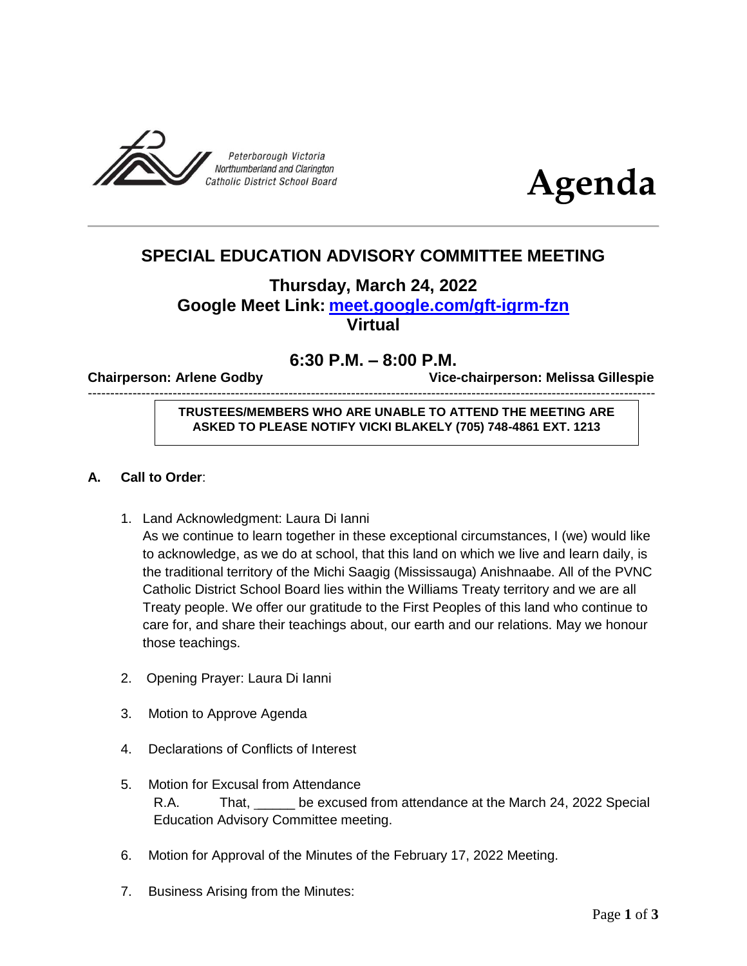



# **SPECIAL EDUCATION ADVISORY COMMITTEE MEETING**

# **Thursday, March 24, 2022 Google Meet Link: [meet.google.com/gft-igrm-fzn](http://meet.google.com/gft-igrm-fzn) Virtual**

# **6:30 P.M. – 8:00 P.M.**

-------------------------------------------------------------------------------------------------------------------------------

**Chairperson: Arlene Godby Vice-chairperson: Melissa Gillespie** 

## **TRUSTEES/MEMBERS WHO ARE UNABLE TO ATTEND THE MEETING ARE ASKED TO PLEASE NOTIFY VICKI BLAKELY (705) 748-4861 EXT. 1213**

## **A. Call to Order**:

- 1. Land Acknowledgment: Laura Di Ianni As we continue to learn together in these exceptional circumstances, I (we) would like to acknowledge, as we do at school, that this land on which we live and learn daily, is the traditional territory of the Michi Saagig (Mississauga) Anishnaabe. All of the PVNC Catholic District School Board lies within the Williams Treaty territory and we are all Treaty people. We offer our gratitude to the First Peoples of this land who continue to care for, and share their teachings about, our earth and our relations. May we honour those teachings.
- 2. Opening Prayer: Laura Di Ianni
- 3. Motion to Approve Agenda
- 4. Declarations of Conflicts of Interest
- 5. Motion for Excusal from Attendance R.A. That, \_\_\_\_\_ be excused from attendance at the March 24, 2022 Special Education Advisory Committee meeting.
- 6. Motion for Approval of the Minutes of the February 17, 2022 Meeting.
- 7. Business Arising from the Minutes: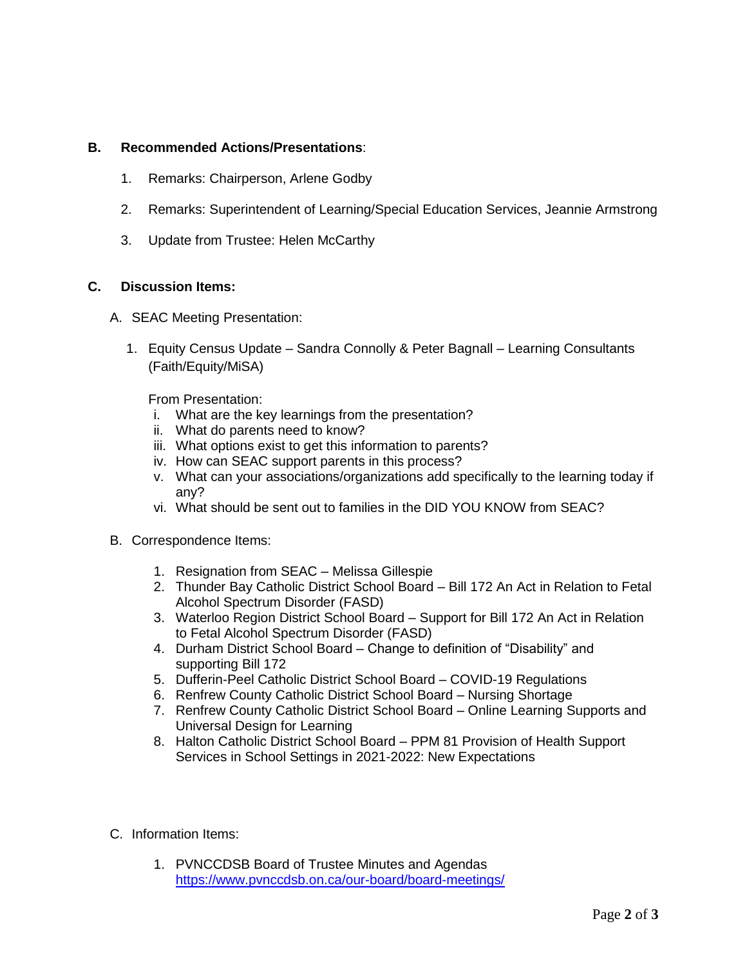#### **B. Recommended Actions/Presentations**:

- 1. Remarks: Chairperson, Arlene Godby
- 2. Remarks: Superintendent of Learning/Special Education Services, Jeannie Armstrong
- 3. Update from Trustee: Helen McCarthy

## **C. Discussion Items:**

- A. SEAC Meeting Presentation:
	- 1. Equity Census Update Sandra Connolly & Peter Bagnall Learning Consultants (Faith/Equity/MiSA)

From Presentation:

- i. What are the key learnings from the presentation?
- ii. What do parents need to know?
- iii. What options exist to get this information to parents?
- iv. How can SEAC support parents in this process?
- v. What can your associations/organizations add specifically to the learning today if any?
- vi. What should be sent out to families in the DID YOU KNOW from SEAC?
- B. Correspondence Items:
	- 1. Resignation from SEAC Melissa Gillespie
	- 2. Thunder Bay Catholic District School Board Bill 172 An Act in Relation to Fetal Alcohol Spectrum Disorder (FASD)
	- 3. Waterloo Region District School Board Support for Bill 172 An Act in Relation to Fetal Alcohol Spectrum Disorder (FASD)
	- 4. Durham District School Board Change to definition of "Disability" and supporting Bill 172
	- 5. Dufferin-Peel Catholic District School Board COVID-19 Regulations
	- 6. Renfrew County Catholic District School Board Nursing Shortage
	- 7. Renfrew County Catholic District School Board Online Learning Supports and Universal Design for Learning
	- 8. Halton Catholic District School Board PPM 81 Provision of Health Support Services in School Settings in 2021-2022: New Expectations
- C. Information Items:
	- 1. PVNCCDSB Board of Trustee Minutes and Agendas <https://www.pvnccdsb.on.ca/our-board/board-meetings/>